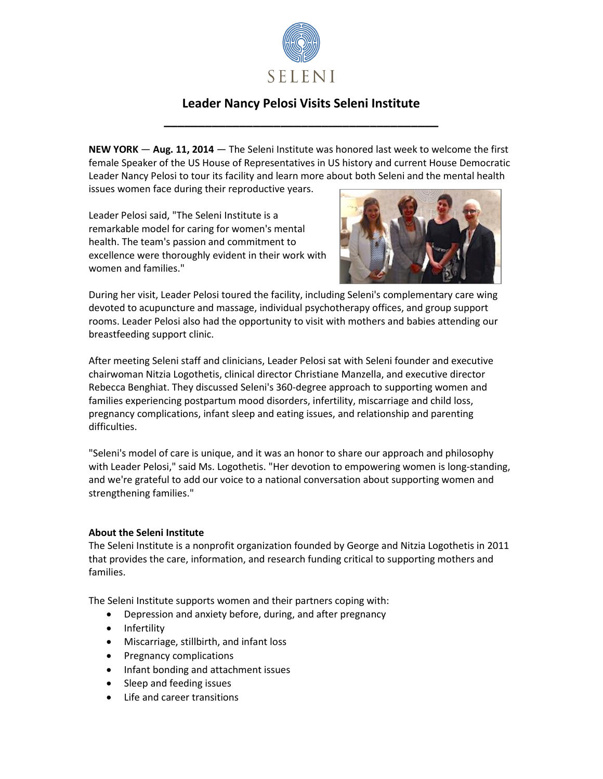

## **Leader Nancy Pelosi Visits Seleni Institute \_\_\_\_\_\_\_\_\_\_\_\_\_\_\_\_\_\_\_\_\_\_\_\_\_\_\_\_\_\_\_\_\_\_\_\_\_\_\_\_**

**NEW YORK** — **Aug. 11, 2014** — The Seleni Institute was honored last week to welcome the first female Speaker of the US House of Representatives in US history and current House Democratic Leader Nancy Pelosi to tour its facility and learn more about both Seleni and the mental health issues women face during their reproductive years.

Leader Pelosi said, "The Seleni Institute is a remarkable model for caring for women's mental health. The team's passion and commitment to excellence were thoroughly evident in their work with women and families."



During her visit, Leader Pelosi toured the facility, including Seleni's complementary care wing devoted to acupuncture and massage, individual psychotherapy offices, and group support rooms. Leader Pelosi also had the opportunity to visit with mothers and babies attending our breastfeeding support clinic.

After meeting Seleni staff and clinicians, Leader Pelosi sat with Seleni founder and executive chairwoman Nitzia Logothetis, clinical director Christiane Manzella, and executive director Rebecca Benghiat. They discussed Seleni's 360-degree approach to supporting women and families experiencing postpartum mood disorders, infertility, miscarriage and child loss, pregnancy complications, infant sleep and eating issues, and relationship and parenting difficulties.

"Seleni's model of care is unique, and it was an honor to share our approach and philosophy with Leader Pelosi," said Ms. Logothetis. "Her devotion to empowering women is long-standing, and we're grateful to add our voice to a national conversation about supporting women and strengthening families."

## **About the Seleni Institute**

The Seleni Institute is a nonprofit organization founded by George and Nitzia Logothetis in 2011 that provides the care, information, and research funding critical to supporting mothers and families.

The Seleni Institute supports women and their partners coping with:

- Depression and anxiety before, during, and after pregnancy
- Infertility
- Miscarriage, stillbirth, and infant loss
- Pregnancy complications
- Infant bonding and attachment issues
- Sleep and feeding issues
- Life and career transitions